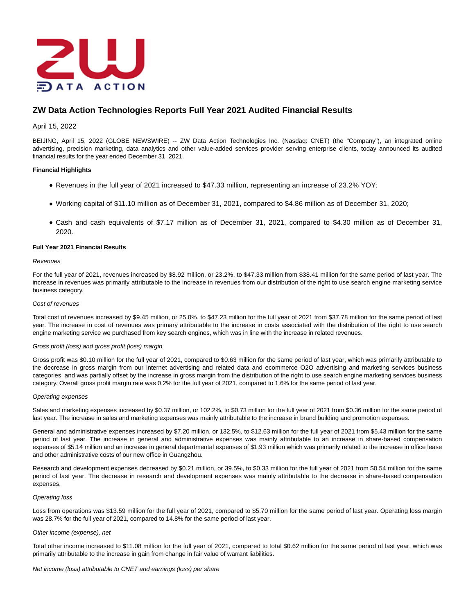

# **ZW Data Action Technologies Reports Full Year 2021 Audited Financial Results**

## April 15, 2022

BEIJING, April 15, 2022 (GLOBE NEWSWIRE) -- ZW Data Action Technologies Inc. (Nasdaq: CNET) (the "Company"), an integrated online advertising, precision marketing, data analytics and other value-added services provider serving enterprise clients, today announced its audited financial results for the year ended December 31, 2021.

## **Financial Highlights**

- Revenues in the full year of 2021 increased to \$47.33 million, representing an increase of 23.2% YOY;
- Working capital of \$11.10 million as of December 31, 2021, compared to \$4.86 million as of December 31, 2020;
- Cash and cash equivalents of \$7.17 million as of December 31, 2021, compared to \$4.30 million as of December 31, 2020.

## **Full Year 2021 Financial Results**

## **Revenues**

For the full year of 2021, revenues increased by \$8.92 million, or 23.2%, to \$47.33 million from \$38.41 million for the same period of last year. The increase in revenues was primarily attributable to the increase in revenues from our distribution of the right to use search engine marketing service business category.

## Cost of revenues

Total cost of revenues increased by \$9.45 million, or 25.0%, to \$47.23 million for the full year of 2021 from \$37.78 million for the same period of last year. The increase in cost of revenues was primary attributable to the increase in costs associated with the distribution of the right to use search engine marketing service we purchased from key search engines, which was in line with the increase in related revenues.

## Gross profit (loss) and gross profit (loss) margin

Gross profit was \$0.10 million for the full year of 2021, compared to \$0.63 million for the same period of last year, which was primarily attributable to the decrease in gross margin from our internet advertising and related data and ecommerce O2O advertising and marketing services business categories, and was partially offset by the increase in gross margin from the distribution of the right to use search engine marketing services business category. Overall gross profit margin rate was 0.2% for the full year of 2021, compared to 1.6% for the same period of last year.

#### Operating expenses

Sales and marketing expenses increased by \$0.37 million, or 102.2%, to \$0.73 million for the full year of 2021 from \$0.36 million for the same period of last year. The increase in sales and marketing expenses was mainly attributable to the increase in brand building and promotion expenses.

General and administrative expenses increased by \$7.20 million, or 132.5%, to \$12.63 million for the full year of 2021 from \$5.43 million for the same period of last year. The increase in general and administrative expenses was mainly attributable to an increase in share-based compensation expenses of \$5.14 million and an increase in general departmental expenses of \$1.93 million which was primarily related to the increase in office lease and other administrative costs of our new office in Guangzhou.

Research and development expenses decreased by \$0.21 million, or 39.5%, to \$0.33 million for the full year of 2021 from \$0.54 million for the same period of last year. The decrease in research and development expenses was mainly attributable to the decrease in share-based compensation expenses.

## Operating loss

Loss from operations was \$13.59 million for the full year of 2021, compared to \$5.70 million for the same period of last year. Operating loss margin was 28.7% for the full year of 2021, compared to 14.8% for the same period of last year.

## Other income (expense), net

Total other income increased to \$11.08 million for the full year of 2021, compared to total \$0.62 million for the same period of last year, which was primarily attributable to the increase in gain from change in fair value of warrant liabilities.

Net income (loss) attributable to CNET and earnings (loss) per share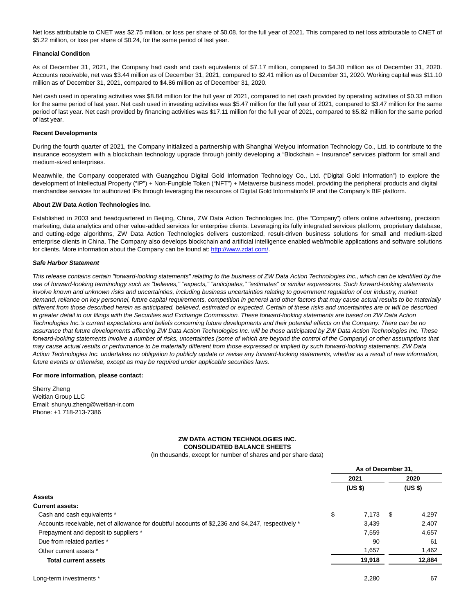Net loss attributable to CNET was \$2.75 million, or loss per share of \$0.08, for the full year of 2021. This compared to net loss attributable to CNET of \$5.22 million, or loss per share of \$0.24, for the same period of last year.

## **Financial Condition**

As of December 31, 2021, the Company had cash and cash equivalents of \$7.17 million, compared to \$4.30 million as of December 31, 2020. Accounts receivable, net was \$3.44 million as of December 31, 2021, compared to \$2.41 million as of December 31, 2020. Working capital was \$11.10 million as of December 31, 2021, compared to \$4.86 million as of December 31, 2020.

Net cash used in operating activities was \$8.84 million for the full year of 2021, compared to net cash provided by operating activities of \$0.33 million for the same period of last year. Net cash used in investing activities was \$5.47 million for the full year of 2021, compared to \$3.47 million for the same period of last year. Net cash provided by financing activities was \$17.11 million for the full year of 2021, compared to \$5.82 million for the same period of last year.

#### **Recent Developments**

During the fourth quarter of 2021, the Company initialized a partnership with Shanghai Weiyou Information Technology Co., Ltd. to contribute to the insurance ecosystem with a blockchain technology upgrade through jointly developing a "Blockchain + Insurance" services platform for small and medium-sized enterprises.

Meanwhile, the Company cooperated with Guangzhou Digital Gold Information Technology Co., Ltd. ("Digital Gold Information") to explore the development of Intellectual Property ("IP") + Non-Fungible Token ("NFT") + Metaverse business model, providing the peripheral products and digital merchandise services for authorized IPs through leveraging the resources of Digital Gold Information's IP and the Company's BIF platform.

## **About ZW Data Action Technologies Inc.**

Established in 2003 and headquartered in Beijing, China, ZW Data Action Technologies Inc. (the "Company") offers online advertising, precision marketing, data analytics and other value-added services for enterprise clients. Leveraging its fully integrated services platform, proprietary database, and cutting-edge algorithms, ZW Data Action Technologies delivers customized, result-driven business solutions for small and medium-sized enterprise clients in China. The Company also develops blockchain and artificial intelligence enabled web/mobile applications and software solutions for clients. More information about the Company can be found at[: http://www.zdat.com/.](https://www.globenewswire.com/Tracker?data=9Og4gre23XmikuFCAf29U5cugTimTxIjymL5IR68jE0vRaobzLNA2LfB0v6pkm9z2Yad6Bnzh7Ijf4xKga2gEQ==)

#### **Safe Harbor Statement**

This release contains certain "forward-looking statements" relating to the business of ZW Data Action Technologies Inc., which can be identified by the use of forward-looking terminology such as "believes," "expects," "anticipates," "estimates" or similar expressions. Such forward-looking statements involve known and unknown risks and uncertainties, including business uncertainties relating to government regulation of our industry, market demand, reliance on key personnel, future capital requirements, competition in general and other factors that may cause actual results to be materially different from those described herein as anticipated, believed, estimated or expected. Certain of these risks and uncertainties are or will be described in greater detail in our filings with the Securities and Exchange Commission. These forward-looking statements are based on ZW Data Action Technologies Inc.'s current expectations and beliefs concerning future developments and their potential effects on the Company. There can be no assurance that future developments affecting ZW Data Action Technologies Inc. will be those anticipated by ZW Data Action Technologies Inc. These forward-looking statements involve a number of risks, uncertainties (some of which are beyond the control of the Company) or other assumptions that may cause actual results or performance to be materially different from those expressed or implied by such forward-looking statements. ZW Data Action Technologies Inc. undertakes no obligation to publicly update or revise any forward-looking statements, whether as a result of new information, future events or otherwise, except as may be required under applicable securities laws.

## **For more information, please contact:**

Sherry Zheng Weitian Group LLC Email: shunyu.zheng@weitian-ir.com Phone: +1 718-213-7386

## **ZW DATA ACTION TECHNOLOGIES INC. CONSOLIDATED BALANCE SHEETS**

(In thousands, except for number of shares and per share data)

|                                                                                                    | As of December 31. |    |                    |  |
|----------------------------------------------------------------------------------------------------|--------------------|----|--------------------|--|
|                                                                                                    | 2021               |    | 2020               |  |
|                                                                                                    | (US \$)            |    | (US <sub>5</sub> ) |  |
| Assets                                                                                             |                    |    |                    |  |
| <b>Current assets:</b>                                                                             |                    |    |                    |  |
| Cash and cash equivalents *                                                                        | \$<br>7,173        | \$ | 4,297              |  |
| Accounts receivable, net of allowance for doubtful accounts of \$2,236 and \$4,247, respectively * | 3,439              |    | 2,407              |  |
| Prepayment and deposit to suppliers *                                                              | 7,559              |    | 4,657              |  |
| Due from related parties *                                                                         | 90                 |    | 61                 |  |
| Other current assets *                                                                             | 1,657              |    | 1,462              |  |
| <b>Total current assets</b>                                                                        | 19,918             |    | 12,884             |  |
| Long-term investments *                                                                            | 2,280              |    | 67                 |  |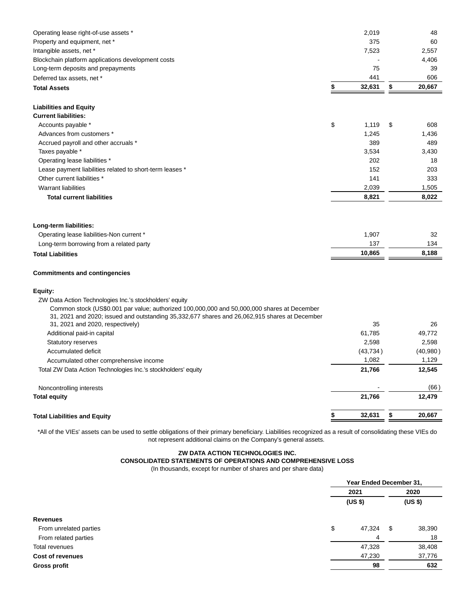| Operating lease right-of-use assets *                                                                                                                                                                                            | 2,019        | 48           |
|----------------------------------------------------------------------------------------------------------------------------------------------------------------------------------------------------------------------------------|--------------|--------------|
| Property and equipment, net *                                                                                                                                                                                                    | 375          | 60           |
| Intangible assets, net *                                                                                                                                                                                                         | 7,523        | 2,557        |
| Blockchain platform applications development costs                                                                                                                                                                               |              | 4,406        |
| Long-term deposits and prepayments                                                                                                                                                                                               | 75           | 39           |
| Deferred tax assets, net *                                                                                                                                                                                                       | 441          | 606          |
| <b>Total Assets</b>                                                                                                                                                                                                              | \$<br>32,631 | \$<br>20,667 |
| <b>Liabilities and Equity</b>                                                                                                                                                                                                    |              |              |
| <b>Current liabilities:</b>                                                                                                                                                                                                      |              |              |
| Accounts payable *                                                                                                                                                                                                               | \$<br>1,119  | \$<br>608    |
| Advances from customers *                                                                                                                                                                                                        | 1,245        | 1,436        |
| Accrued payroll and other accruals *                                                                                                                                                                                             | 389          | 489          |
| Taxes payable *                                                                                                                                                                                                                  | 3,534        | 3,430        |
| Operating lease liabilities *                                                                                                                                                                                                    | 202          | 18           |
| Lease payment liabilities related to short-term leases *                                                                                                                                                                         | 152          | 203          |
| Other current liabilities *                                                                                                                                                                                                      | 141          | 333          |
| <b>Warrant liabilities</b>                                                                                                                                                                                                       | 2,039        | 1,505        |
| <b>Total current liabilities</b>                                                                                                                                                                                                 | 8,821        | 8,022        |
| Long-term liabilities:<br>Operating lease liabilities-Non current *                                                                                                                                                              | 1,907        | 32           |
| Long-term borrowing from a related party                                                                                                                                                                                         | 137          | 134          |
| <b>Total Liabilities</b>                                                                                                                                                                                                         | 10,865       | 8,188        |
| <b>Commitments and contingencies</b>                                                                                                                                                                                             |              |              |
| Equity:                                                                                                                                                                                                                          |              |              |
| ZW Data Action Technologies Inc.'s stockholders' equity                                                                                                                                                                          |              |              |
| Common stock (US\$0.001 par value; authorized 100,000,000 and 50,000,000 shares at December<br>31, 2021 and 2020; issued and outstanding 35,332,677 shares and 26,062,915 shares at December<br>31, 2021 and 2020, respectively) | 35           | 26           |
| Additional paid-in capital                                                                                                                                                                                                       | 61,785       | 49,772       |
| Statutory reserves                                                                                                                                                                                                               | 2,598        | 2,598        |
| Accumulated deficit                                                                                                                                                                                                              | (43, 734)    | (40, 980)    |
| Accumulated other comprehensive income                                                                                                                                                                                           | 1,082        | 1,129        |
| Total ZW Data Action Technologies Inc.'s stockholders' equity                                                                                                                                                                    | 21,766       | 12,545       |
| Noncontrolling interests                                                                                                                                                                                                         |              | (66)         |
| <b>Total equity</b>                                                                                                                                                                                                              | 21,766       | 12,479       |
| <b>Total Liabilities and Equity</b>                                                                                                                                                                                              | \$<br>32,631 | \$<br>20,667 |

\*All of the VIEs' assets can be used to settle obligations of their primary beneficiary. Liabilities recognized as a result of consolidating these VIEs do not represent additional claims on the Company's general assets.

## **ZW DATA ACTION TECHNOLOGIES INC. CONSOLIDATED STATEMENTS OF OPERATIONS AND COMPREHENSIVE LOSS**

(In thousands, except for number of shares and per share data)

|                         |    | Year Ended December 31, |    |                 |  |
|-------------------------|----|-------------------------|----|-----------------|--|
|                         |    | 2021<br>(US \$)         |    | 2020<br>(US \$) |  |
|                         |    |                         |    |                 |  |
| <b>Revenues</b>         |    |                         |    |                 |  |
| From unrelated parties  | \$ | 47,324                  | \$ | 38,390          |  |
| From related parties    |    | 4                       |    | 18              |  |
| Total revenues          |    | 47,328                  |    | 38,408          |  |
| <b>Cost of revenues</b> |    | 47,230                  |    | 37,776          |  |
| <b>Gross profit</b>     |    | 98                      |    | 632             |  |
|                         |    |                         |    |                 |  |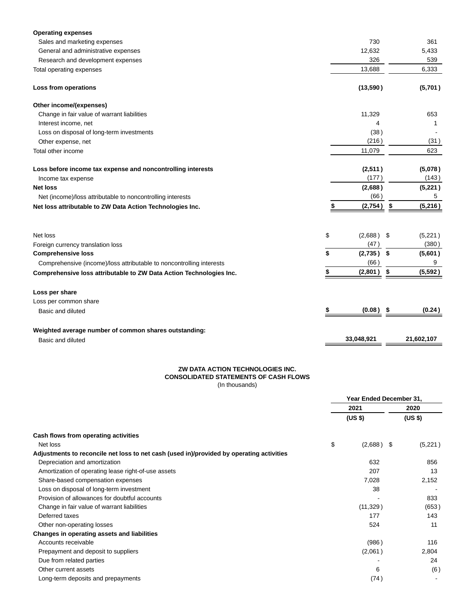| <b>Operating expenses</b>                                            |    |            |     |            |
|----------------------------------------------------------------------|----|------------|-----|------------|
| Sales and marketing expenses                                         |    | 730        |     | 361        |
| General and administrative expenses                                  |    | 12,632     |     | 5,433      |
| Research and development expenses                                    |    | 326        |     |            |
| Total operating expenses                                             |    | 13,688     |     | 6,333      |
| Loss from operations                                                 |    | (13,590)   |     | (5,701)    |
| Other income/(expenses)                                              |    |            |     |            |
| Change in fair value of warrant liabilities                          |    | 11,329     |     | 653        |
| Interest income, net                                                 |    | 4          |     | 1          |
| Loss on disposal of long-term investments                            |    | (38)       |     |            |
| Other expense, net                                                   |    | (216)      |     | (31)       |
| Total other income                                                   |    | 11,079     |     | 623        |
| Loss before income tax expense and noncontrolling interests          |    | (2,511)    |     | (5,078)    |
| Income tax expense                                                   |    | (177)      |     | (143)      |
| <b>Net loss</b>                                                      |    | (2,688)    |     | (5,221)    |
| Net (income)/loss attributable to noncontrolling interests           |    | (66)       |     | 5          |
| Net loss attributable to ZW Data Action Technologies Inc.            | \$ | (2,754)    | \$  | (5,216)    |
|                                                                      |    |            |     |            |
| Net loss                                                             | \$ | (2,688)    | -\$ | (5,221)    |
| Foreign currency translation loss                                    |    | (47)       |     | (380)      |
| <b>Comprehensive loss</b>                                            | \$ | (2,735)    | \$  | (5,601)    |
| Comprehensive (income)/loss attributable to noncontrolling interests |    | (66)       |     | 9          |
| Comprehensive loss attributable to ZW Data Action Technologies Inc.  | \$ | (2,801)    | \$  | (5,592)    |
| Loss per share                                                       |    |            |     |            |
| Loss per common share                                                |    |            |     |            |
| Basic and diluted                                                    | S  | (0.08)     | S   | (0.24)     |
| Weighted average number of common shares outstanding:                |    |            |     |            |
| Basic and diluted                                                    |    | 33,048,921 |     | 21,602,107 |
|                                                                      |    |            |     |            |

#### **ZW DATA ACTION TECHNOLOGIES INC. CONSOLIDATED STATEMENTS OF CASH FLOWS** (In thousands)

|                                                                                          |                 | Year Ended December 31, |                 |  |
|------------------------------------------------------------------------------------------|-----------------|-------------------------|-----------------|--|
|                                                                                          | 2021<br>(US \$) |                         | 2020<br>(US \$) |  |
|                                                                                          |                 |                         |                 |  |
| Cash flows from operating activities                                                     |                 |                         |                 |  |
| Net loss                                                                                 | \$              | (2,688)<br>- \$         | (5,221)         |  |
| Adjustments to reconcile net loss to net cash (used in)/provided by operating activities |                 |                         |                 |  |
| Depreciation and amortization                                                            |                 | 632                     | 856             |  |
| Amortization of operating lease right-of-use assets                                      |                 | 207                     | 13              |  |
| Share-based compensation expenses                                                        |                 | 7,028                   | 2,152           |  |
| Loss on disposal of long-term investment                                                 |                 | 38                      |                 |  |
| Provision of allowances for doubtful accounts                                            |                 |                         | 833             |  |
| Change in fair value of warrant liabilities                                              |                 | (11, 329)               | (653)           |  |
| Deferred taxes                                                                           |                 | 177                     | 143             |  |
| Other non-operating losses                                                               |                 | 524                     | 11              |  |
| Changes in operating assets and liabilities                                              |                 |                         |                 |  |
| Accounts receivable                                                                      |                 | (986)                   | 116             |  |
| Prepayment and deposit to suppliers                                                      |                 | (2,061)                 | 2,804           |  |
| Due from related parties                                                                 |                 |                         | 24              |  |
| Other current assets                                                                     |                 | 6                       | (6)             |  |
| Long-term deposits and prepayments                                                       |                 | (74)                    |                 |  |
|                                                                                          |                 |                         |                 |  |